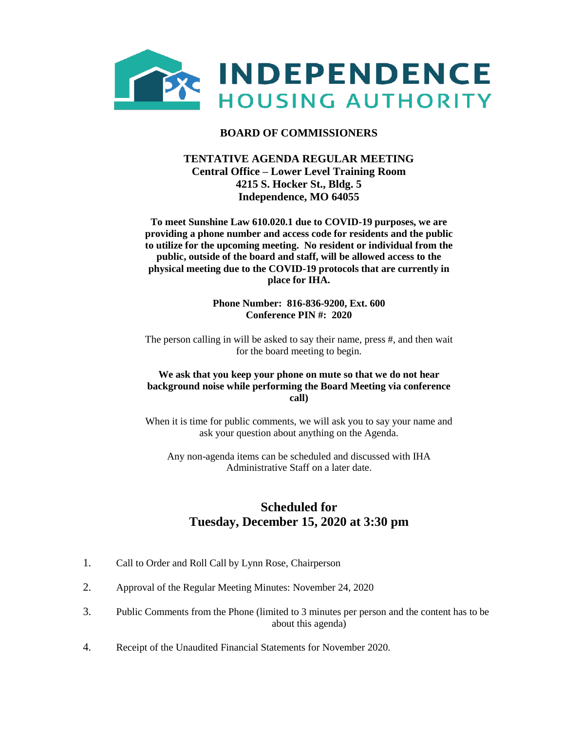

## **BOARD OF COMMISSIONERS**

## **TENTATIVE AGENDA REGULAR MEETING Central Office – Lower Level Training Room 4215 S. Hocker St., Bldg. 5 Independence, MO 64055**

**To meet Sunshine Law 610.020.1 due to COVID-19 purposes, we are providing a phone number and access code for residents and the public to utilize for the upcoming meeting. No resident or individual from the public, outside of the board and staff, will be allowed access to the physical meeting due to the COVID-19 protocols that are currently in place for IHA.** 

> **Phone Number: 816-836-9200, Ext. 600 Conference PIN #: 2020**

The person calling in will be asked to say their name, press #, and then wait for the board meeting to begin.

#### **We ask that you keep your phone on mute so that we do not hear background noise while performing the Board Meeting via conference call)**

When it is time for public comments, we will ask you to say your name and ask your question about anything on the Agenda.

Any non-agenda items can be scheduled and discussed with IHA Administrative Staff on a later date.

# **Scheduled for Tuesday, December 15, 2020 at 3:30 pm**

- 1. Call to Order and Roll Call by Lynn Rose, Chairperson
- 2. Approval of the Regular Meeting Minutes: November 24, 2020
- 3. Public Comments from the Phone (limited to 3 minutes per person and the content has to be about this agenda)
- 4. Receipt of the Unaudited Financial Statements for November 2020.